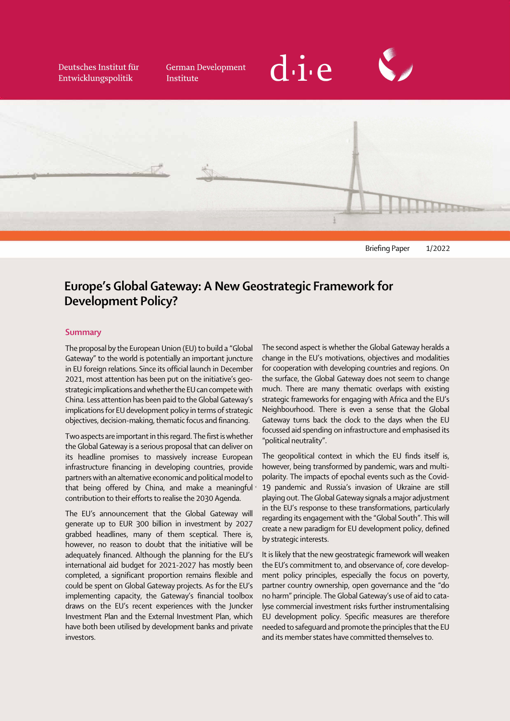Deutsches Institut für Entwicklungspolitik

**German Development** Institute







# Europe's Global Gateway: A New Geostrategic Framework for Development Policy?

# **Summary**

ſ

j The proposal by the European Union (EU) to build a "Global Gateway" to the world is potentially an important juncture in EU foreign relations. Since its official launch in December 2021, most attention has been put on the initiative's geostrategic implications and whether the EU can compete with China. Less attention has been paid to the Global Gateway's implications for EU development policy in terms of strategic objectives, decision-making, thematic focus and financing.

Two aspects are important in this regard. The first is whether the Global Gateway is a serious proposal that can deliver on its headline promises to massively increase European infrastructure financing in developing countries, provide partners with an alternative economic and political model to that being offered by China, and make a meaningful contribution to their efforts to realise the 2030 Agenda.

The EU's announcement that the Global Gateway will generate up to EUR 300 billion in investment by 2027 grabbed headlines, many of them sceptical. There is, however, no reason to doubt that the initiative will be adequately financed. Although the planning for the EU's international aid budget for 2021-2027 has mostly been completed, a significant proportion remains flexible and could be spent on Global Gateway projects. As for the EU's implementing capacity, the Gateway's financial toolbox draws on the EU's recent experiences with the Juncker Investment Plan and the External Investment Plan, which have both been utilised by development banks and private investors.

 $\overline{\phantom{a}}$  $\overline{\phantom{a}}$  $\ddot{\phantom{0}}$ The second aspect is whether the Global Gateway heralds a change in the EU's motivations, objectives and modalities for cooperation with developing countries and regions. On the surface, the Global Gateway does not seem to change much. There are many thematic overlaps with existing strategic frameworks for engaging with Africa and the EU's Neighbourhood. There is even a sense that the Global Gateway turns back the clock to the days when the EU focussed aid spending on infrastructure and emphasised its "political neutrality".

 $\ddot{\phantom{0}}$ The geopolitical context in which the EU finds itself is, however, being transformed by pandemic, wars and multipolarity. The impacts of epochal events such as the Covid-19 pandemic and Russia's invasion of Ukraine are still playing out. The Global Gateway signals a major adjustment in the EU's response to these transformations, particularly regarding its engagement with the "Global South". This will create a new paradigm for EU development policy, defined by strategic interests.

 $\overline{a}$ It is likely that the new geostrategic framework will weaken the EU's commitment to, and observance of, core development policy principles, especially the focus on poverty, partner country ownership, open governance and the "do no harm" principle. The Global Gateway's use of aid to catalyse commercial investment risks further instrumentalising EU development policy. Specific measures are therefore needed to safeguard and promote the principles that the EU and its member states have committed themselves to.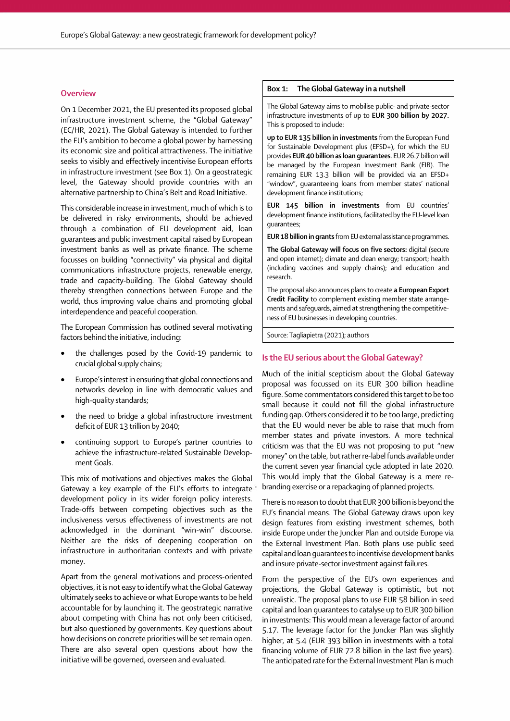## **Overview**

On 1 December 2021, the EU presented its proposed global infrastructure investment scheme, the "Global Gateway" (EC/HR, 2021). The Global Gateway is intended to further the EU's ambition to become a global power by harnessing its economic size and political attractiveness. The initiative seeks to visibly and effectively incentivise European efforts in infrastructure investment (see Box 1). On a geostrategic level, the Gateway should provide countries with an alternative partnership to China's Belt and Road Initiative.

 $\overline{\phantom{a}}$  $\overline{\phantom{a}}$ This considerable increase in investment, much of which is to be delivered in risky environments, should be achieved through a combination of EU development aid, loan guarantees and public investment capital raised by European investment banks as well as private finance. The scheme focusses on building "connectivity" via physical and digital communications infrastructure projects, renewable energy, trade and capacity-building. The Global Gateway should thereby strengthen connections between Europe and the world, thus improving value chains and promoting global interdependence and peaceful cooperation.

The European Commission has outlined several motivating factors behind the initiative, including:

- the challenges posed by the Covid-19 pandemic to crucial global supply chains;
- $\overline{a}$ • Europe's interest in ensuring that global connections and networks develop in line with democratic values and high-quality standards;
- the need to bridge a global infrastructure investment deficit of EUR 13 trillion by 2040;
- continuing support to Europe's partner countries to achieve the infrastructure-related Sustainable Development Goals.

This mix of motivations and objectives makes the Global Gateway a key example of the EU's efforts to integrate development policy in its wider foreign policy interests. Trade-offs between competing objectives such as the inclusiveness versus effectiveness of investments are not acknowledged in the dominant "win-win" discourse. Neither are the risks of deepening cooperation on infrastructure in authoritarian contexts and with private money.

Apart from the general motivations and process-oriented objectives, it is not easy to identify what the Global Gateway ultimately seeks to achieve or what Europe wants to be held accountable for by launching it. The geostrategic narrative about competing with China has not only been criticised, but also questioned by governments. Key questions about how decisions on concrete priorities will be set remain open. There are also several open questions about how the initiative will be governed, overseen and evaluated.

#### Box 1: The Global Gateway in a nutshell

The Global Gateway aims to mobilise public- and private-sector infrastructure investments of up to EUR 300 billion by 2027. This is proposed to include:

up to EUR 135 billion in investments from the European Fund for Sustainable Development plus (EFSD+), for which the EU provides EUR 40 billion as loan guarantees. EUR 26.7 billion will be managed by the European Investment Bank (EIB). The remaining EUR 13.3 billion will be provided via an EFSD+ "window", guaranteeing loans from member states' national development finance institutions;

EUR 145 billion in investments from EU countries' development finance institutions, facilitated by the EU-level loan guarantees;

EUR 18 billion in grants from EU external assistance programmes.

 $\vdots$ The Global Gateway will focus on five sectors: digital (secure and open internet); climate and clean energy; transport; health (including vaccines and supply chains); and education and research.

The proposal also announces plans to create a European Export Credit Facility to complement existing member state arrangements and safeguards, aimed at strengthening the competitiveness of EU businesses in developing countries.

Source: Tagliapietra (2021); authors

#### Is the EU serious about the Global Gateway?

 $\overline{a}$  $\vdots$  $\ddot{\phantom{0}}$ Much of the initial scepticism about the Global Gateway proposal was focussed on its EUR 300 billion headline figure. Some commentators considered this target to be too small because it could not fill the global infrastructure funding gap. Others considered it to be too large, predicting that the EU would never be able to raise that much from member states and private investors. A more technical criticism was that the EU was not proposing to put "new money" on the table, but rather re-label funds available under the current seven year financial cycle adopted in late 2020. This would imply that the Global Gateway is a mere rebranding exercise or a repackaging of planned projects.

 $\ddot{\phantom{0}}$  $\vdots$  $\ddot{\phantom{0}}$ There is no reason to doubt that EUR 300 billion is beyond the EU's financial means. The Global Gateway draws upon key design features from existing investment schemes, both inside Europe under the Juncker Plan and outside Europe via the External Investment Plan. Both plans use public seed capital and loan guarantees to incentivise development banks and insure private-sector investment against failures.

 $\vdots$ From the perspective of the EU's own experiences and projections, the Global Gateway is optimistic, but not unrealistic. The proposal plans to use EUR 58 billion in seed capital and loan guarantees to catalyse up to EUR 300 billion in investments: This would mean a leverage factor of around 5.17. The leverage factor for the Juncker Plan was slightly higher, at 5.4 (EUR 393 billion in investments with a total financing volume of EUR 72.8 billion in the last five years). The anticipated rate for the External Investment Plan is much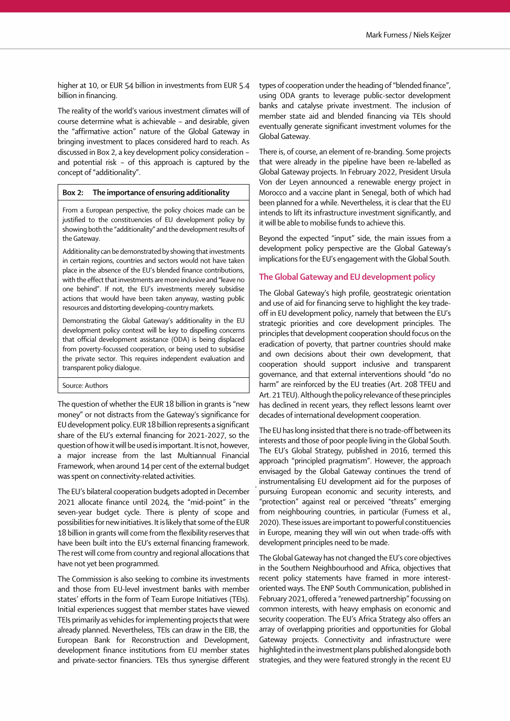higher at 10, or EUR 54 billion in investments from EUR 5.4 billion in financing.<br>The reality of the world's various investment climates will of

course determine what is achievable – and desirable, given the "affirmative action" nature of the Global Gateway in bringing investment to places considered hard to reach. As discussed in Box 2, a key development policy consideration – and potential risk – of this approach is captured by the concept of "additionality".

## Box 2: The importance of ensuring additionality

From a European perspective, the policy choices made can be justified to the constituencies of EU development policy by showing both the "additionality" and the development results of the Gateway.

Additionality can be demonstrated by showing that investments in certain regions, countries and sectors would not have taken place in the absence of the EU's blended finance contributions, with the effect that investments are more inclusive and "leave no one behind". If not, the EU's investments merely subsidise actions that would have been taken anyway, wasting public resources and distorting developing-country markets.

Demonstrating the Global Gateway's additionality in the EU development policy context will be key to dispelling concerns that official development assistance (ODA) is being displaced from poverty-focussed cooperation, or being used to subsidise the private sector. This requires independent evaluation and transparent policy dialogue.

#### Source: Authors

 The question of whether the EUR 18 billion in grants is "new money" or not distracts from the Gateway's significance for EU development policy. EUR 18 billion represents a significant share of the EU's external financing for 2021-2027, so the question of how it will be used is important. It is not, however, a major increase from the last Multiannual Financial Framework, when around 14 per cent of the external budget was spent on connectivity-related activities.

 $\ddot{\phantom{a}}$  $\ddot{\phantom{0}}$ The EU's bilateral cooperation budgets adopted in December 2021 allocate finance until 2024, the "mid-point" in the seven-year budget cycle. There is plenty of scope and possibilities for new initiatives. It is likely that some of the EUR 18 billion in grants will come from the flexibility reserves that have been built into the EU's external financing framework. The rest will come from country and regional allocations that have not yet been programmed.

The Commission is also seeking to combine its investments and those from EU-level investment banks with member states' efforts in the form of Team Europe Initiatives (TEIs). Initial experiences suggest that member states have viewed TEIs primarily as vehicles for implementing projects that were already planned. Nevertheless, TEIs can draw in the EIB, the European Bank for Reconstruction and Development, development finance institutions from EU member states and private-sector financiers. TEIs thus synergise different

 $\overline{a}$ types of cooperation under the heading of "blended finance", using ODA grants to leverage public-sector development banks and catalyse private investment. The inclusion of member state aid and blended financing via TEIs should eventually generate significant investment volumes for the Global Gateway.

 $\overline{\phantom{a}}$ There is, of course, an element of re-branding. Some projects that were already in the pipeline have been re-labelled as Global Gateway projects. In February 2022, President Ursula Von der Leyen announced a renewable energy project in Morocco and a vaccine plant in Senegal, both of which had been planned for a while. Nevertheless, it is clear that the EU intends to lift its infrastructure investment significantly, and it will be able to mobilise funds to achieve this.

 $\overline{a}$ Beyond the expected "input" side, the main issues from a development policy perspective are the Global Gateway's implications for the EU's engagement with the Global South.

## The Global Gateway and EU development policy

.<br>.  $\overline{\phantom{a}}$ The Global Gateway's high profile, geostrategic orientation and use of aid for financing serve to highlight the key tradeoff in EU development policy, namely that between the EU's strategic priorities and core development principles. The principles that development cooperation should focus on the eradication of poverty, that partner countries should make and own decisions about their own development, that cooperation should support inclusive and transparent governance, and that external interventions should "do no harm" are reinforced by the EU treaties (Art. 208 TFEU and Art. 21 TEU). Although the policy relevance of these principles has declined in recent years, they reflect lessons learnt over decades of international development cooperation.

The EU has long insisted that there is no trade-off between its interests and those of poor people living in the Global South. The EU's Global Strategy, published in 2016, termed this approach "principled pragmatism". However, the approach envisaged by the Global Gateway continues the trend of instrumentalising EU development aid for the purposes of pursuing European economic and security interests, and "protection" against real or perceived "threats" emerging from neighbouring countries, in particular (Furness et al., 2020). These issues are important to powerful constituencies in Europe, meaning they will win out when trade-offs with development principles need to be made.

 $\ddot{\phantom{0}}$  $\overline{\phantom{a}}$  $\ddot{\phantom{0}}$ The Global Gateway has not changed the EU's core objectives in the Southern Neighbourhood and Africa, objectives that recent policy statements have framed in more interestoriented ways. The ENP South Communication, published in February 2021, offered a "renewed partnership" focussing on common interests, with heavy emphasis on economic and security cooperation. The EU's Africa Strategy also offers an array of overlapping priorities and opportunities for Global Gateway projects. Connectivity and infrastructure were highlighted in the investment plans published alongside both strategies, and they were featured strongly in the recent EU